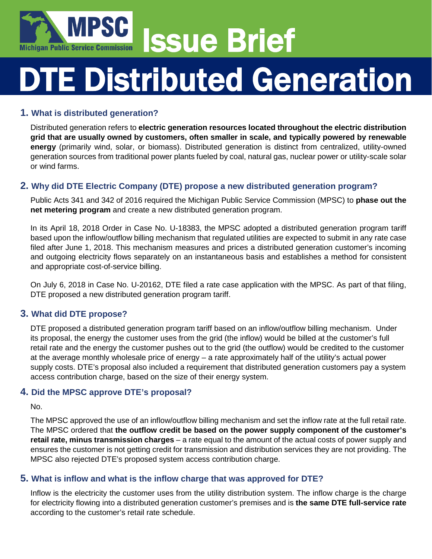

# DTE Distributed Generation

# **1. What is distributed generation?**

Distributed generation refers to **electric generation resources located throughout the electric distribution grid that are usually owned by customers, often smaller in scale, and typically powered by renewable energy** (primarily wind, solar, or biomass). Distributed generation is distinct from centralized, utility-owned generation sources from traditional power plants fueled by coal, natural gas, nuclear power or utility-scale solar or wind farms. s<br>m

# **2. Why did DTE Electric Company (DTE) propose a new distributed generation program?**

Public Acts 341 and 342 of 2016 required the Michigan Public Service Commission (MPSC) to **phase out the net metering program** and create a new distributed generation program.

In its April 18, 2018 Order in Case No. U-18383, the MPSC adopted a distributed generation program tariff based upon the inflow/outflow billing mechanism that regulated utilities are expected to submit in any rate case filed after June 1, 2018. This mechanism measures and prices a distributed generation customer's incoming and outgoing electricity flows separately on an instantaneous basis and establishes a method for consistent and appropriate cost-of-service billing.

On July 6, 2018 in Case No. U-20162, DTE filed a rate case application with the MPSC. As part of that filing, DTE proposed a new distributed generation program tariff.

# **3. What did DTE propose?**

DTE proposed a distributed generation program tariff based on an inflow/outflow billing mechanism. Under its proposal, the energy the customer uses from the grid (the inflow) would be billed at the customer's full retail rate and the energy the customer pushes out to the grid (the outflow) would be credited to the customer at the average monthly wholesale price of energy – a rate approximately half of the utility's actual power supply costs. DTE's proposal also included a requirement that distributed generation customers pay a system access contribution charge, based on the size of their energy system.

# **4. Did the MPSC approve DTE's proposal?**

#### No.

The MPSC approved the use of an inflow/outflow billing mechanism and set the inflow rate at the full retail rate. The MPSC ordered that **the outflow credit be based on the power supply component of the customer's retail rate, minus transmission charges** – a rate equal to the amount of the actual costs of power supply and ensures the customer is not getting credit for transmission and distribution services they are not providing. The MPSC also rejected DTE's proposed system access contribution charge.

# **5. What is inflow and what is the inflow charge that was approved for DTE?**

Inflow is the electricity the customer uses from the utility distribution system. The inflow charge is the charge for electricity flowing into a distributed generation customer's premises and is **the same DTE full-service rate** according to the customer's retail rate schedule.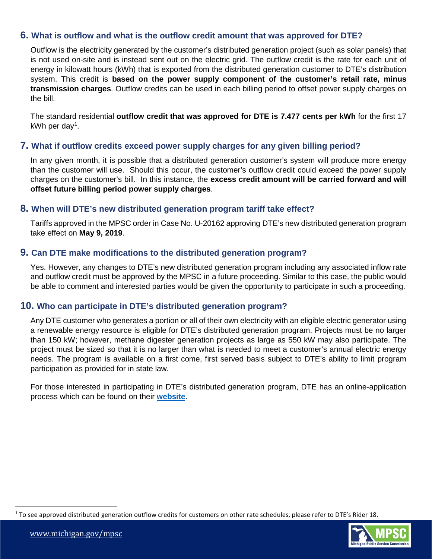## **6. What is outflow and what is the outflow credit amount that was approved for DTE?**

Outflow is the electricity generated by the customer's distributed generation project (such as solar panels) that is not used on-site and is instead sent out on the electric grid. The outflow credit is the rate for each unit of energy in kilowatt hours (kWh) that is exported from the distributed generation customer to DTE's distribution system. This credit is **based on the power supply component of the customer's retail rate, minus transmission charges**. Outflow credits can be used in each billing period to offset power supply charges on the bill.

The standard residential **outflow credit that was approved for DTE is 7.477 cents per kWh** for the first 17 kWh per day $^{\rm 1}.$ 

# **7. What if outflow credits exceed power supply charges for any given billing period?**

In any given month, it is possible that a distributed generation customer's system will produce more energy than the customer will use. Should this occur, the customer's outflow credit could exceed the power supply charges on the customer's bill. In this instance, the **excess credit amount will be carried forward and will offset future billing period power supply charges**.

## **8. When will DTE's new distributed generation program tariff take effect?**

Tariffs approved in the MPSC order in Case No. U-20162 approving DTE's new distributed generation program take effect on **May 9, 2019**.

## **9. Can DTE make modifications to the distributed generation program?**

Yes. However, any changes to DTE's new distributed generation program including any associated inflow rate and outflow credit must be approved by the MPSC in a future proceeding. Similar to this case, the public would be able to comment and interested parties would be given the opportunity to participate in such a proceeding.

## **10. Who can participate in DTE's distributed generation program?**

Any DTE customer who generates a portion or all of their own electricity with an eligible electric generator using a renewable energy resource is eligible for DTE's distributed generation program. Projects must be no larger than 150 kW; however, methane digester generation projects as large as 550 kW may also participate. The project must be sized so that it is no larger than what is needed to meet a customer's annual electric energy needs. The program is available on a first come, first served basis subject to DTE's ability to limit program participation as provided for in state law.

For those interested in participating in DTE's distributed generation program, DTE has an online-application process which can be found on their **[website](https://newlook.dteenergy.com/wps/wcm/connect/dte-web/home/service-request/common/electric/gmop/interconnection-process)**.

<span id="page-1-0"></span> $1$  To see approved distributed generation outflow credits for customers on other rate schedules, please refer to DTE's Rider 18.

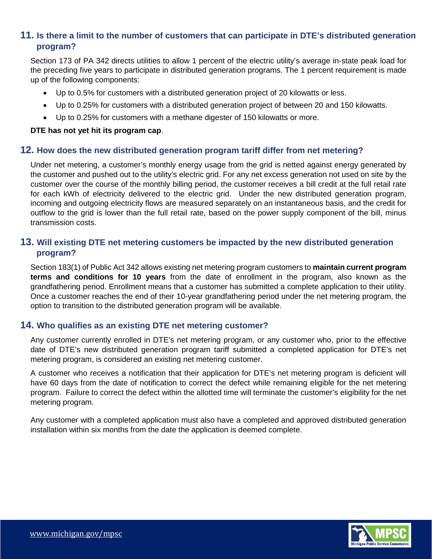# **11. Is there a limit to the number of customers that can participate in DTE's distributed generation program?**

Section 173 of PA 342 directs utilities to allow 1 percent of the electric utility's average in-state peak load for the preceding five years to participate in distributed generation programs. The 1 percent requirement is made up of the following components:

- Up to 0.5% for customers with a distributed generation project of 20 kilowatts or less.
- Up to 0.25% for customers with a distributed generation project of between 20 and 150 kilowatts.
- Up to 0.25% for customers with a methane digester of 150 kilowatts or more.

#### **DTE has not yet hit its program cap**.

#### **12. How does the new distributed generation program tariff differ from net metering?**

Under net metering, a customer's monthly energy usage from the grid is netted against energy generated by the customer and pushed out to the utility's electric grid. For any net excess generation not used on site by the customer over the course of the monthly billing period, the customer receives a bill credit at the full retail rate for each kWh of electricity delivered to the electric grid. Under the new distributed generation program, incoming and outgoing electricity flows are measured separately on an instantaneous basis, and the credit for outflow to the grid is lower than the full retail rate, based on the power supply component of the bill, minus transmission costs.

# **13. Will existing DTE net metering customers be impacted by the new distributed generation program?**

Section 183(1) of Public Act 342 allows existing net metering program customers to **maintain current program terms and conditions for 10 years** from the date of enrollment in the program, also known as the grandfathering period. Enrollment means that a customer has submitted a complete application to their utility. Once a customer reaches the end of their 10-year grandfathering period under the net metering program, the option to transition to the distributed generation program will be available.

## **14. Who qualifies as an existing DTE net metering customer?**

Any customer currently enrolled in DTE's net metering program, or any customer who, prior to the effective date of DTE's new distributed generation program tariff submitted a completed application for DTE's net metering program, is considered an existing net metering customer.

A customer who receives a notification that their application for DTE's net metering program is deficient will have 60 days from the date of notification to correct the defect while remaining eligible for the net metering program. Failure to correct the defect within the allotted time will terminate the customer's eligibility for the net metering program.

Any customer with a completed application must also have a completed and approved distributed generation installation within six months from the date the application is deemed complete.

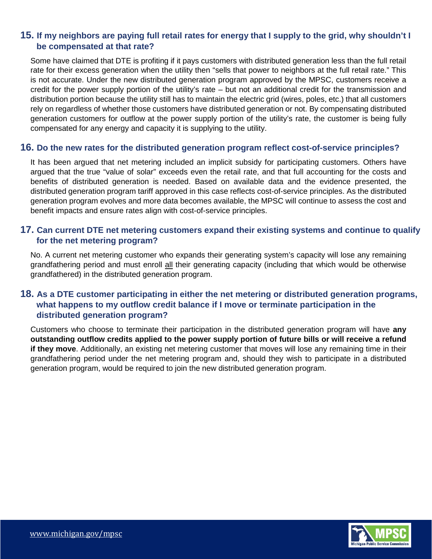# **15. If my neighbors are paying full retail rates for energy that I supply to the grid, why shouldn't I be compensated at that rate?**

Some have claimed that DTE is profiting if it pays customers with distributed generation less than the full retail rate for their excess generation when the utility then "sells that power to neighbors at the full retail rate." This is not accurate. Under the new distributed generation program approved by the MPSC, customers receive a credit for the power supply portion of the utility's rate – but not an additional credit for the transmission and distribution portion because the utility still has to maintain the electric grid (wires, poles, etc.) that all customers rely on regardless of whether those customers have distributed generation or not. By compensating distributed generation customers for outflow at the power supply portion of the utility's rate, the customer is being fully compensated for any energy and capacity it is supplying to the utility.

## **16. Do the new rates for the distributed generation program reflect cost-of-service principles?**

It has been argued that net metering included an implicit subsidy for participating customers. Others have argued that the true "value of solar" exceeds even the retail rate, and that full accounting for the costs and benefits of distributed generation is needed. Based on available data and the evidence presented, the distributed generation program tariff approved in this case reflects cost-of-service principles. As the distributed generation program evolves and more data becomes available, the MPSC will continue to assess the cost and benefit impacts and ensure rates align with cost-of-service principles.

## **17. Can current DTE net metering customers expand their existing systems and continue to qualify for the net metering program?**

No. A current net metering customer who expands their generating system's capacity will lose any remaining grandfathering period and must enroll all their generating capacity (including that which would be otherwise grandfathered) in the distributed generation program.

# **18. As a DTE customer participating in either the net metering or distributed generation programs, what happens to my outflow credit balance if I move or terminate participation in the distributed generation program?**

Customers who choose to terminate their participation in the distributed generation program will have **any outstanding outflow credits applied to the power supply portion of future bills or will receive a refund if they move**. Additionally, an existing net metering customer that moves will lose any remaining time in their grandfathering period under the net metering program and, should they wish to participate in a distributed generation program, would be required to join the new distributed generation program.